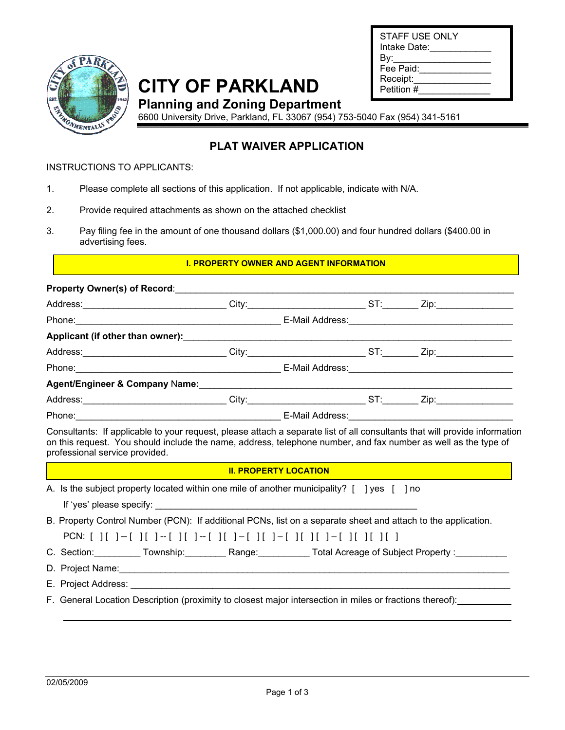| Ċ        |
|----------|
| Ş        |
| MENTALLY |
|          |

**SPARE** 

# **CITY OF PARKLAND**

| STAFF USE ONLY<br>Intake Date: |  |
|--------------------------------|--|
| By:                            |  |
| Fee Paid:                      |  |
| Receipt:                       |  |
| Petition #                     |  |

**Planning and Zoning Department** 

6600 University Drive, Parkland, FL 33067 (954) 753-5040 Fax (954) 341-5161

## **PLAT WAIVER APPLICATION**

## INSTRUCTIONS TO APPLICANTS:

- 1. Please complete all sections of this application. If not applicable, indicate with N/A.
- 2. Provide required attachments as shown on the attached checklist
- 3. Pay filing fee in the amount of one thousand dollars (\$1,000.00) and four hundred dollars (\$400.00 in advertising fees.

## **I. PROPERTY OWNER AND AGENT INFORMATION**

|                                                                                                                                                                                                                                | Property Owner(s) of Record: __________                                                                                                                                                                                        |                              |  |
|--------------------------------------------------------------------------------------------------------------------------------------------------------------------------------------------------------------------------------|--------------------------------------------------------------------------------------------------------------------------------------------------------------------------------------------------------------------------------|------------------------------|--|
|                                                                                                                                                                                                                                | Address:_______________________________City:__________________________ST:_________ Zip:__________________                                                                                                                      |                              |  |
|                                                                                                                                                                                                                                | Phone: 2008. 2009. [2010] Dhone: 2010. [2010] Dhone: 2010. [2010] Dhone: 2010. [2010] Dhone: 2010. [2010] Dhone: 2010. [2010] Dhone: 2010. [2010] Dhone: 2010. [2010] Dhone: 2010. [2010] Dhone: 2010. [2010] Dhone: 2010. [20 |                              |  |
|                                                                                                                                                                                                                                |                                                                                                                                                                                                                                |                              |  |
|                                                                                                                                                                                                                                |                                                                                                                                                                                                                                |                              |  |
|                                                                                                                                                                                                                                | Phone: 2008. [2013] Phone: 2014. [2013] Phone: 2014. [2014] Phone: 2014. [2014] Phone: 2014. [2014] Phone: 2014. [2014] Phone: 2014. [2014] Phone: 2014. [2014] Phone: 2014. [2014] Phone: 2014. [2014] Phone: 2014. [2014] Ph |                              |  |
|                                                                                                                                                                                                                                |                                                                                                                                                                                                                                |                              |  |
|                                                                                                                                                                                                                                | Address:______________________________City:_________________________ST:_________ Zip:______________                                                                                                                            |                              |  |
| Phone: 2008. 2009. [2013] Phone: 2014. [2014] Phone: 2014. [2014] Phone: 2014. [2014] Phone: 2014. [2014] Phone: 2014. [2014] Phone: 2014. [2014] Phone: 2014. [2014] Phone: 2014. [2014] Phone: 2014. [2014] Phone: 2014. [20 |                                                                                                                                                                                                                                |                              |  |
|                                                                                                                                                                                                                                | professional service provided.                                                                                                                                                                                                 | <b>II. PROPERTY LOCATION</b> |  |
|                                                                                                                                                                                                                                | A. Is the subject property located within one mile of another municipality? [ ] yes [ ] no                                                                                                                                     |                              |  |
|                                                                                                                                                                                                                                | B. Property Control Number (PCN): If additional PCNs, list on a separate sheet and attach to the application.                                                                                                                  |                              |  |
|                                                                                                                                                                                                                                | PCN: [ ][ ]-[ ][ ]-[ ][ ]-[ ][ ]-[ ][ ]-[ ][ ]-[ ][ ][ ]-[ ][ ][ ][                                                                                                                                                            |                              |  |
|                                                                                                                                                                                                                                | C. Section: Community Township: Community Range: Total Acreage of Subject Property : Community Section: The Section Section: The Section: Community Section: Community Section: Community Section: Community Section: Communit |                              |  |
|                                                                                                                                                                                                                                |                                                                                                                                                                                                                                |                              |  |
|                                                                                                                                                                                                                                |                                                                                                                                                                                                                                |                              |  |
|                                                                                                                                                                                                                                | F. General Location Description (proximity to closest major intersection in miles or fractions thereof):                                                                                                                       |                              |  |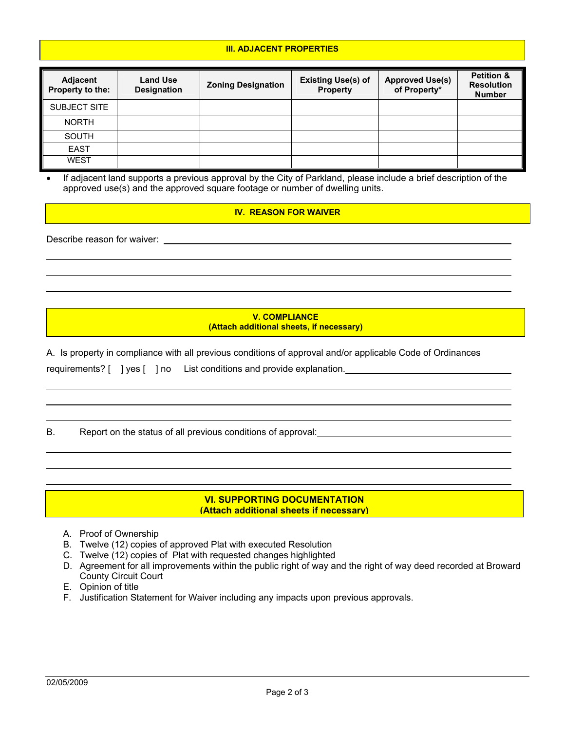#### **III. ADJACENT PROPERTIES**

| Adjacent<br>Property to the: | <b>Land Use</b><br><b>Designation</b> | <b>Zoning Designation</b> | <b>Existing Use(s) of</b><br>Property | <b>Approved Use(s)</b><br>of Property* | <b>Petition &amp;</b><br><b>Resolution</b><br><b>Number</b> |
|------------------------------|---------------------------------------|---------------------------|---------------------------------------|----------------------------------------|-------------------------------------------------------------|
| SUBJECT SITE                 |                                       |                           |                                       |                                        |                                                             |
| <b>NORTH</b>                 |                                       |                           |                                       |                                        |                                                             |
| <b>SOUTH</b>                 |                                       |                           |                                       |                                        |                                                             |
| <b>EAST</b>                  |                                       |                           |                                       |                                        |                                                             |
| <b>WEST</b>                  |                                       |                           |                                       |                                        |                                                             |

If adjacent land supports a previous approval by the City of Parkland, please include a brief description of the approved use(s) and the approved square footage or number of dwelling units.

#### **IV. REASON FOR WAIVER**

Describe reason for waiver:

**V. COMPLIANCE (Attach additional sheets, if necessary)** 

A. Is property in compliance with all previous conditions of approval and/or applicable Code of Ordinances

requirements? [ ] yes [ ] no List conditions and provide explanation.

B. Report on the status of all previous conditions of approval:

#### **VI. SUPPORTING DOCUMENTATION (Attach additional sheets if necessary)**

- A. Proof of Ownership
- B. Twelve (12) copies of approved Plat with executed Resolution
- C. Twelve (12) copies of Plat with requested changes highlighted
- D. Agreement for all improvements within the public right of way and the right of way deed recorded at Broward County Circuit Court
- E. Opinion of title
- F. Justification Statement for Waiver including any impacts upon previous approvals.